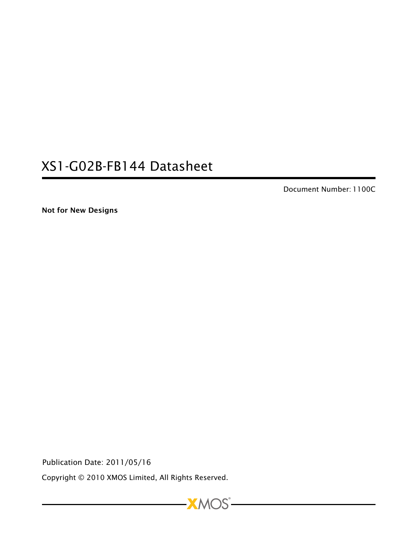# XS1-G02B-FB144 Datasheet

Document Number: 1100C

Not for New Designs

Publication Date: 2011/05/16

Copyright © 2010 XMOS Limited, All Rights Reserved.

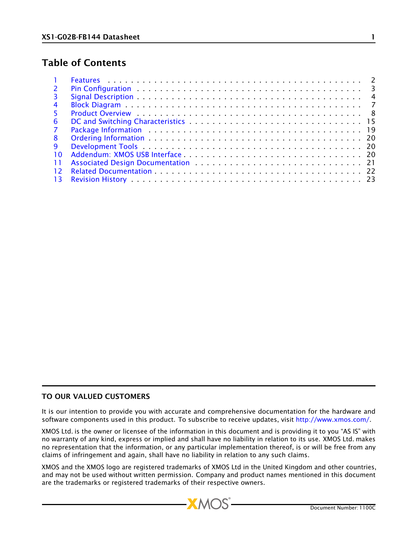### Table of Contents

| $\overline{2}$  |                                                                                                                                                                                                                                |  |
|-----------------|--------------------------------------------------------------------------------------------------------------------------------------------------------------------------------------------------------------------------------|--|
| 3               |                                                                                                                                                                                                                                |  |
| $\overline{4}$  |                                                                                                                                                                                                                                |  |
| -5.             | Product Overview enterprise on the contract of the contract of the contract of the contract of the contract of the contract of the contract of the contract of the contract of the contract of the contract of the contract of |  |
| -6              |                                                                                                                                                                                                                                |  |
| 7               |                                                                                                                                                                                                                                |  |
| -8              |                                                                                                                                                                                                                                |  |
| <b>q</b>        |                                                                                                                                                                                                                                |  |
| 10              |                                                                                                                                                                                                                                |  |
| $\overline{11}$ |                                                                                                                                                                                                                                |  |
| 12              |                                                                                                                                                                                                                                |  |
| 13              |                                                                                                                                                                                                                                |  |

### TO OUR VALUED CUSTOMERS

It is our intention to provide you with accurate and comprehensive documentation for the hardware and software components used in this product. To subscribe to receive updates, visit [http://www.xmos.com/.](http://www.xmos.com/www.xmos.com)

XMOS Ltd. is the owner or licensee of the information in this document and is providing it to you "AS IS" with no warranty of any kind, express or implied and shall have no liability in relation to its use. XMOS Ltd. makes no representation that the information, or any particular implementation thereof, is or will be free from any claims of infringement and again, shall have no liability in relation to any such claims.

XMOS and the XMOS logo are registered trademarks of XMOS Ltd in the United Kingdom and other countries, and may not be used without written permission. Company and product names mentioned in this document are the trademarks or registered trademarks of their respective owners.

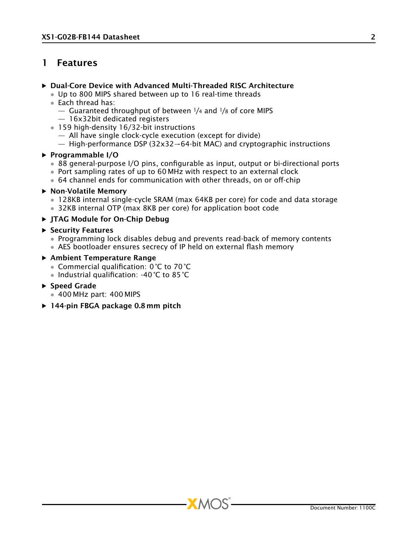### <span id="page-2-0"></span>1 Features

### · Dual-Core Device with Advanced Multi-Threaded RISC Architecture

- Up to 800 MIPS shared between up to 16 real-time threads
- Each thread has:
	- $-$  Guaranteed throughput of between  $1/4$  and  $1/8$  of core MIPS
	- 16x32bit dedicated registers
- 159 high-density 16/32-bit instructions
	- All have single clock-cycle execution (except for divide)
	- High-performance DSP (32x32→64-bit MAC) and cryptographic instructions

### · Programmable I/O

- 88 general-purpose I/O pins, configurable as input, output or bi-directional ports
- Port sampling rates of up to 60 MHz with respect to an external clock
- 64 channel ends for communication with other threads, on or off-chip

### · Non-Volatile Memory

- 128KB internal single-cycle SRAM (max 64KB per core) for code and data storage
- 32KB internal OTP (max 8KB per core) for application boot code

### · JTAG Module for On-Chip Debug

### · Security Features

- Programming lock disables debug and prevents read-back of memory contents
- AES bootloader ensures secrecy of IP held on external flash memory
- · Ambient Temperature Range
	- Commercial qualification: 0 °C to 70 °C
	- Industrial qualification: -40 °C to 85 °C
- ▶ Speed Grade
	- 400 MHz part: 400 MIPS
- ▶ 144-pin FBGA package 0.8 mm pitch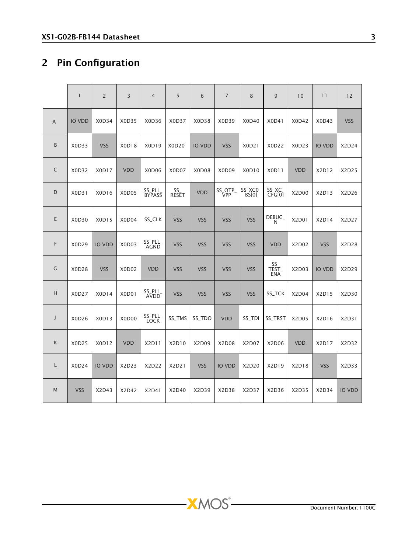# <span id="page-3-0"></span>2 Pin Configuration

|                | $\mathbf{1}$  | 2             | 3          | $\overline{4}$    | 5            | 6             | $\overline{7}$        | 8                | 9                   | 10         | 11            | 12            |
|----------------|---------------|---------------|------------|-------------------|--------------|---------------|-----------------------|------------------|---------------------|------------|---------------|---------------|
| $\overline{A}$ | <b>IO VDD</b> | X0D34         | X0D35      | X0D36             | X0D37        | X0D38         | X0D39                 | X0D40            | X0D41               | X0D42      | X0D43         | <b>VSS</b>    |
| B              | X0D33         | <b>VSS</b>    | X0D18      | X0D19             | X0D20        | <b>IO VDD</b> | <b>VSS</b>            | X0D21            | X0D22               | X0D23      | <b>IO VDD</b> | X2D24         |
| C              | X0D32         | X0D17         | <b>VDD</b> | X0D06             | X0D07        | X0D08         | X0D09                 | X0D10            | X0D11               | <b>VDD</b> | X2D12         | X2D25         |
| D              | X0D31         | X0D16         | X0D05      | SS_PLL_<br>BYPASS | SS_<br>RESET | <b>VDD</b>    | SS_OTP_<br><b>VPP</b> | SS_XCO_<br>BS[0] | SS_XC<br>CFG[0]     | X2D00      | X2D13         | X2D26         |
| Ε              | X0D30         | X0D15         | X0D04      | SS_CLK            | <b>VSS</b>   | <b>VSS</b>    | <b>VSS</b>            | <b>VSS</b>       | DEBUG_<br>N         | X2D01      | X2D14         | X2D27         |
| F              | X0D29         | <b>IO VDD</b> | X0D03      | SS_PLL_<br>AGND   | <b>VSS</b>   | <b>VSS</b>    | <b>VSS</b>            | <b>VSS</b>       | <b>VDD</b>          | X2D02      | <b>VSS</b>    | X2D28         |
| G              | X0D28         | <b>VSS</b>    | X0D02      | <b>VDD</b>        | <b>VSS</b>   | <b>VSS</b>    | <b>VSS</b>            | <b>VSS</b>       | SS_<br>TEST_<br>ENA | X2D03      | <b>IO VDD</b> | X2D29         |
| H              | X0D27         | X0D14         | X0D01      | SS_PLL_<br>AVDD   | <b>VSS</b>   | <b>VSS</b>    | <b>VSS</b>            | <b>VSS</b>       | SS_TCK              | X2D04      | X2D15         | X2D30         |
| J              | X0D26         | X0D13         | X0D00      | SS_PLL_<br>LOCK   | SS_TMS       | SS_TDO        | <b>VDD</b>            | SS_TDI           | SS_TRST             | X2D05      | X2D16         | X2D31         |
| К              | X0D25         | X0D12         | <b>VDD</b> | X2D11             | X2D10        | X2D09         | X2D08                 | X2D07            | X2D06               | <b>VDD</b> | X2D17         | X2D32         |
| L              | X0D24         | <b>IO VDD</b> | X2D23      | X2D22             | X2D21        | <b>VSS</b>    | <b>IO VDD</b>         | X2D20            | X2D19               | X2D18      | <b>VSS</b>    | X2D33         |
| M              | <b>VSS</b>    | X2D43         | X2D42      | X2D41             | X2D40        | X2D39         | X2D38                 | X2D37            | X2D36               | X2D35      | X2D34         | <b>IO VDD</b> |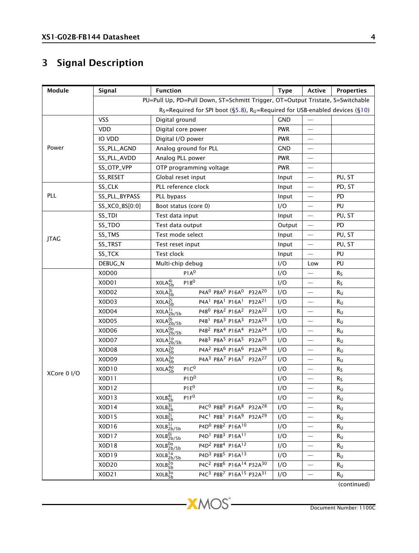# <span id="page-4-0"></span>3 Signal Description

| Module      | Signal         | <b>Function</b>                                                                                               | <b>Type</b> | Active                   | <b>Properties</b> |
|-------------|----------------|---------------------------------------------------------------------------------------------------------------|-------------|--------------------------|-------------------|
|             |                | PU=Pull Up, PD=Pull Down, ST=Schmitt Trigger, OT=Output Tristate, S=Switchable                                |             |                          |                   |
|             |                | $R_S$ =Required for SPI boot (§5.8), $R_U$ =Required for USB-enabled devices (§10)                            |             |                          |                   |
|             | VSS            | Digital ground                                                                                                | <b>GND</b>  |                          |                   |
|             | <b>VDD</b>     | Digital core power                                                                                            | <b>PWR</b>  |                          |                   |
|             | IO VDD         | Digital I/O power                                                                                             | <b>PWR</b>  | $\overline{\phantom{m}}$ |                   |
| Power       | SS_PLL_AGND    | Analog ground for PLL                                                                                         | <b>GND</b>  | $\overline{\phantom{0}}$ |                   |
|             | SS_PLL_AVDD    | Analog PLL power                                                                                              | <b>PWR</b>  |                          |                   |
|             | SS_OTP_VPP     | OTP programming voltage                                                                                       | <b>PWR</b>  |                          |                   |
|             | SS_RESET       | Global reset input                                                                                            | Input       |                          | PU, ST            |
|             | SS_CLK         | PLL reference clock                                                                                           | Input       | $\overline{\phantom{m}}$ | PD, ST            |
| PLL         | SS_PLL_BYPASS  | PLL bypass                                                                                                    | Input       | $\overline{\phantom{0}}$ | PD                |
|             | SS_XC0_BS[0:0] | Boot status (core 0)                                                                                          | I/O         |                          | PU                |
|             | SS_TDI         | Test data input                                                                                               | Input       |                          | PU, ST            |
|             | SS_TDO         | Test data output                                                                                              | Output      |                          | PD                |
| <b>JTAG</b> | SS_TMS         | Test mode select                                                                                              | Input       | $\overline{\phantom{0}}$ | PU, ST            |
|             | SS_TRST        | Test reset input                                                                                              | Input       | $\overline{\phantom{0}}$ | PU, ST            |
|             | SS_TCK         | Test clock                                                                                                    | Input       | $\overline{\phantom{0}}$ | PU                |
|             | DEBUG_N        | Multi-chip debug                                                                                              | I/O         | Low                      | PU                |
|             | X0D00          | P1A <sup>0</sup>                                                                                              | I/O         |                          | R <sub>S</sub>    |
|             | X0D01          | XOLA <sub>5h</sub> <sup>4i</sup><br>P1B <sup>0</sup>                                                          | I/O         |                          | R <sub>S</sub>    |
|             | X0D02          | P4A <sup>0</sup> P8A <sup>0</sup> P16A <sup>0</sup> P32A <sup>20</sup><br>XOLA <sub>5h</sub> <sup>3i</sup>    | I/O         | $\overline{\phantom{0}}$ | $R_{U}$           |
|             | X0D03          | P4A <sup>1</sup> P8A <sup>1</sup> P16A <sup>1</sup> P32A <sup>21</sup><br>XOLA <sub>5b</sub> <sup>2i</sup>    | I/O         | $\overline{\phantom{0}}$ | $R_{U}$           |
|             | X0D04          | P4B <sup>0</sup> P8A <sup>2</sup> P16A <sup>2</sup> P32A <sup>22</sup><br>XOLA <sup>11</sup> <sub>2b/5b</sub> | I/O         |                          | $R_{U}$           |
|             | X0D05          | XOLA <sub>2b/5b</sub> <sup>0i</sup><br>P4B <sup>1</sup> P8A <sup>3</sup> P16A <sup>3</sup> P32A <sup>23</sup> | I/O         |                          | $R_{\rm U}$       |
|             | X0D06          | XOLA <sub>2b/5b</sub> <sup>00</sup><br>P4B <sup>2</sup> P8A <sup>4</sup> P16A <sup>4</sup> P32A <sup>24</sup> | I/O         | $\equiv$                 | $R_{\rm U}$       |
|             | X0D07          | P4B3 P8A5 P16A5 P32A25<br>XOLA <sub>2b/5b</sub>                                                               | I/O         | $\qquad \qquad -$        | $R_{\rm U}$       |
|             | X0D08          | P4A <sup>2</sup> P8A <sup>6</sup> P16A <sup>6</sup> P32A <sup>26</sup><br>XOLA <sub>5b</sub> <sup>2o</sup>    | I/O         | $\overline{\phantom{0}}$ | $R_{\rm U}$       |
|             | X0D09          | P4A3 P8A7 P16A7 P32A27<br>XOLA <sub>5b</sub> <sup>3o</sup>                                                    | I/O         | $\equiv$                 | $R_{U}$           |
| XCore 0 I/O | X0D10          | XOLA <sub>5b</sub> <sup>4o</sup><br>$P1C^0$                                                                   | I/O         |                          | R <sub>S</sub>    |
|             | X0D11          | P1D <sup>0</sup>                                                                                              | I/O         | $\equiv$                 | R <sub>S</sub>    |
|             | X0D12          | $P1E^0$                                                                                                       | I/O         | $\overline{\phantom{0}}$ | $R_{\rm U}$       |
|             | X0D13          | XOLB <sub>5b</sub> <sup>4i</sup><br>P1F <sup>0</sup>                                                          | I/O         | $\overline{\phantom{0}}$ | $R_{\rm U}$       |
|             | X0D14          | P4C <sup>0</sup> P8B <sup>0</sup> P16A <sup>8</sup> P32A <sup>28</sup><br>XOLB <sub>5b</sub> <sup>3i</sup>    | I/O         |                          | $R_{U}$           |
|             | X0D15          | P4C <sup>1</sup> P8B <sup>1</sup> P16A <sup>9</sup> P32A <sup>29</sup><br>XOLB <sub>5b</sub> <sup>2i</sup>    | I/O         |                          | $R_{\rm U}$       |
|             | X0D16          | P4D <sup>0</sup> P8B <sup>2</sup> P16A <sup>10</sup><br>XOLB <sup>1i</sup> <sub>2b/5b</sub>                   | I/O         | $\overline{\phantom{0}}$ | $R_{U}$           |
|             | X0D17          | P4D <sup>1</sup> P8B <sup>3</sup> P16A <sup>11</sup><br>XOLB <sub>2b/5b</sub>                                 | I/O         | $\overline{\phantom{0}}$ | $R_{U}$           |
|             | X0D18          | XOLB <sub>2b/5b</sub> <sup>0</sup><br>P4D <sup>2</sup> P8B <sup>4</sup> P16A <sup>12</sup>                    | I/O         | $\overline{\phantom{0}}$ | $R_{U}$           |
|             | X0D19          | XOLB <sup>10</sup> <sub>2b/5b</sub><br>P4D <sup>3</sup> P8B <sup>5</sup> P16A <sup>13</sup>                   | I/O         |                          | $R_{U}$           |
|             | X0D20          | P4C <sup>2</sup> P8B <sup>6</sup> P16A <sup>14</sup> P32A <sup>30</sup><br>XOLB <sub>5b</sub> <sup>2o</sup>   | I/O         |                          | $R_{U}$           |
|             | X0D21          | P4C3 P8B7 P16A15 P32A31<br>XOLB <sub>5b</sub> <sup>3o</sup>                                                   | I/O         | $\qquad \qquad -$        | $R_{U}$           |

(continued)

Document Number: 1100C

**XMOS**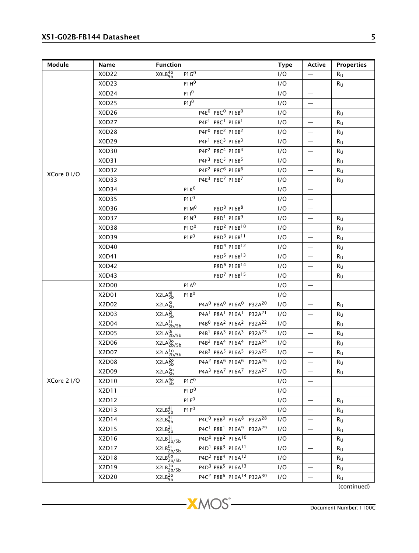### XS1-G02B-FB144 Datasheet 5

| Module      | Name  | <b>Function</b>                                                                                              | Type | Active                            | <b>Properties</b> |
|-------------|-------|--------------------------------------------------------------------------------------------------------------|------|-----------------------------------|-------------------|
|             | X0D22 | P1G <sup>0</sup><br>XOLB <sub>5b</sub> <sup>4o</sup>                                                         | I/O  |                                   | R <sub>U</sub>    |
|             | X0D23 | $P1H^0$                                                                                                      | I/O  | $\overline{\phantom{m}}$          | Ru                |
|             | X0D24 | P110                                                                                                         | I/O  | $\overline{\phantom{m}}$          |                   |
|             | X0D25 | $P1J^0$                                                                                                      | I/O  | $\overline{\phantom{m}}$          |                   |
|             | X0D26 | P4E <sup>0</sup> P8C <sup>0</sup> P16B <sup>0</sup>                                                          | I/O  | $\overline{\phantom{m}}$          | $R_{U}$           |
|             | X0D27 | P4E <sup>1</sup> P8C <sup>1</sup> P16B <sup>1</sup>                                                          | I/O  |                                   | $R_U$             |
|             | X0D28 | P4F <sup>0</sup> P8C <sup>2</sup> P16B <sup>2</sup>                                                          | I/O  |                                   | $R_{U}$           |
|             | X0D29 | P4F <sup>1</sup> P8C <sup>3</sup> P16B <sup>3</sup>                                                          | I/O  | $\equiv$                          | $R_{U}$           |
|             | X0D30 | P4F <sup>2</sup> P8C <sup>4</sup> P16B <sup>4</sup>                                                          | I/O  | $\overline{\phantom{m}}$          | $R_{U}$           |
|             | X0D31 | P4F3 P8C <sup>5</sup> P16B <sup>5</sup>                                                                      | I/O  |                                   | Ru                |
| XCore 0 I/O | X0D32 | P4E <sup>2</sup> P8C <sup>6</sup> P16B <sup>6</sup>                                                          | I/O  | $\overline{\phantom{0}}$          | $R_U$             |
|             | X0D33 | P4E3 P8C7 P16B7                                                                                              | I/O  | $\qquad \qquad -$                 | $R_U$             |
|             | X0D34 | P1K <sup>0</sup>                                                                                             | I/O  |                                   |                   |
|             | X0D35 | P1L <sup>0</sup>                                                                                             | I/O  | $\overline{\phantom{m}}$          |                   |
|             | X0D36 | P1M <sup>0</sup><br>P8D <sup>0</sup> P16B <sup>8</sup>                                                       | I/O  | $\overline{\phantom{m}}$          |                   |
|             | X0D37 | P1N <sup>0</sup><br>P8D <sup>1</sup> P16B <sup>9</sup>                                                       | I/O  | $\overline{\phantom{m}}$          | Ru                |
|             | X0D38 | P8D <sup>2</sup> P16B <sup>10</sup><br>P1O <sup>0</sup>                                                      | I/O  | $\overline{\phantom{m}}$          | $R_U$             |
|             | X0D39 | P8D <sup>3</sup> P16B <sup>11</sup><br>$P1P^0$                                                               | I/O  | $\qquad \qquad -$                 | $R_{\mathsf{U}}$  |
|             | X0D40 | P8D <sup>4</sup> P16B <sup>12</sup>                                                                          | I/O  |                                   | $R_U$             |
|             | X0D41 | P8D <sup>5</sup> P16B <sup>13</sup>                                                                          | I/O  |                                   | $R_U$             |
|             | X0D42 | P8D <sup>6</sup> P16B <sup>14</sup>                                                                          | I/O  | $\overline{\phantom{m}}$          | $R_U$             |
|             | X0D43 | P8D <sup>7</sup> P16B <sup>15</sup>                                                                          | I/O  | $\overline{\phantom{m}}$          | Ru                |
|             | X2D00 | P1A <sup>0</sup>                                                                                             | I/O  | $\qquad \qquad -$                 |                   |
|             | X2D01 | X2LA <sub>5b</sub> <sup>4i</sup><br>P1B <sup>0</sup>                                                         | I/O  | $\overline{\phantom{m}}$          |                   |
|             | X2D02 | P4A <sup>0</sup> P8A <sup>0</sup> P16A <sup>0</sup> P32A <sup>20</sup><br>X2LA <sub>5b</sub> <sup>3i</sup>   | I/O  | $\overbrace{\phantom{123221111}}$ | $R_{U}$           |
|             | X2D03 | P4A <sup>1</sup> P8A <sup>1</sup> P16A <sup>1</sup> P32A <sup>21</sup><br>X2LA <sub>5b</sub> <sup>2i</sup>   | I/O  |                                   | $R_U$             |
|             | X2D04 | P4B <sup>0</sup> P8A <sup>2</sup> P16A <sup>2</sup> P32A <sup>22</sup><br>X2LA <sub>2b/5b</sub>              | I/O  | $\equiv$                          | $R_{U}$           |
|             | X2D05 | X2LA <sub>2b/5b</sub><br>P4B <sup>1</sup> P8A <sup>3</sup> P16A <sup>3</sup> P32A <sup>23</sup>              | I/O  |                                   | Ru                |
|             | X2D06 | X2LA <sub>2b/5b</sub> <sup>0</sup><br>P4B <sup>2</sup> P8A <sup>4</sup> P16A <sup>4</sup> P32A <sup>24</sup> | I/O  | $\overline{\phantom{m}}$          | $R_{U}$           |
|             | X2D07 | P4B3 P8A5 P16A5 P32A25<br>X2LA <sub>2b/5b</sub>                                                              | I/O  | $\overline{\phantom{m}}$          | $R_{U}$           |
|             | X2D08 | P4A <sup>2</sup> P8A <sup>6</sup> P16A <sup>6</sup> P32A <sup>26</sup><br>X2LA <sub>5b</sub> <sup>2o</sup>   | I/O  | $\qquad \qquad -$                 | $R_U$             |
|             | X2D09 | P4A3 P8A7 P16A7 P32A27<br>X2LA <sub>5b</sub> <sup>3o</sup>                                                   | I/O  |                                   | $R_U$             |
| XCore 2 I/O | X2D10 | $P1C^0$<br>X2LA <sub>5b</sub> <sup>40</sup>                                                                  | I/O  | $\overline{\phantom{a}}$          |                   |
|             | X2D11 | P1D <sup>0</sup>                                                                                             | I/O  | $\overline{\phantom{0}}$          |                   |
|             | X2D12 | $P1E^0$                                                                                                      | I/O  | $\overline{\phantom{m}}$          | $R_{U}$           |
|             | X2D13 | $P1F^0$<br>X2LB <sub>5b</sub> <sup>4i</sup>                                                                  | I/O  | $\overline{\phantom{a}}$          | $R_U$             |
|             | X2D14 | P4C <sup>0</sup> P8B <sup>0</sup> P16A <sup>8</sup> P32A <sup>28</sup><br>X2LB <sub>5b</sub> <sup>3i</sup>   | I/O  | $\overline{\phantom{0}}$          | $R_{U}$           |
|             | X2D15 | P4C <sup>1</sup> P8B <sup>1</sup> P16A <sup>9</sup> P32A <sup>29</sup><br>X2LB <sub>5b</sub> <sup>2i</sup>   | I/O  |                                   | $R_{U}$           |
|             | X2D16 | P4D <sup>0</sup> P8B <sup>2</sup> P16A <sup>10</sup><br>X2LB <sub>2b/5b</sub>                                | I/O  |                                   | $R_{U}$           |
|             | X2D17 | X2LB <sub>2b/5b</sub><br>P4D <sup>1</sup> P8B <sup>3</sup> P16A <sup>11</sup>                                | I/O  | $\overline{\phantom{m}}$          | $R_{U}$           |
|             | X2D18 | P4D <sup>2</sup> P8B <sup>4</sup> P16A <sup>12</sup><br>X2LB <sub>2b/5b</sub> <sup>0</sup>                   | I/O  | $\overline{\phantom{m}}$          | $R_U$             |
|             | X2D19 | P4D <sup>3</sup> P8B <sup>5</sup> P16A <sup>13</sup><br>X2LB <sub>2b/5b</sub>                                | I/O  |                                   | Ru                |
|             | X2D20 | P4C <sup>2</sup> P8B <sup>6</sup> P16A <sup>14</sup> P32A <sup>30</sup><br>X2LB <sub>5b</sub> <sup>2o</sup>  | I/O  | $\frac{1}{2}$                     | $R_U$             |

(continued)

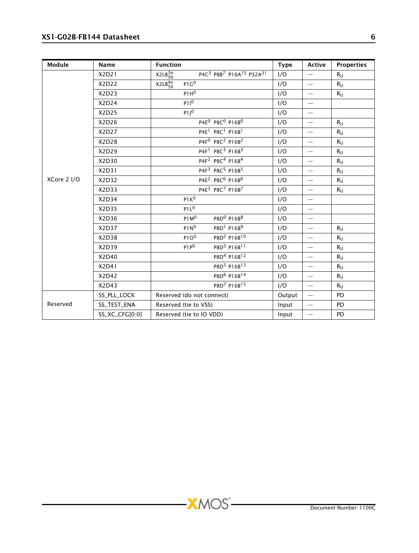### XS1-G02B-FB144 Datasheet 6

| Module      | Name           | <b>Function</b>                                                                                             | <b>Type</b> | <b>Active</b>            | <b>Properties</b> |
|-------------|----------------|-------------------------------------------------------------------------------------------------------------|-------------|--------------------------|-------------------|
|             | X2D21          | X2LB <sub>5b</sub> <sup>3o</sup><br>P4C <sup>3</sup> P8B <sup>7</sup> P16A <sup>15</sup> P32A <sup>31</sup> | I/O         | $\overline{\phantom{0}}$ | $R_{\rm U}$       |
|             | X2D22          | X2LB <sub>5b</sub> <sup>4o</sup><br>P1G <sup>0</sup>                                                        | I/O         | $\qquad \qquad -$        | $R_{\rm U}$       |
|             | X2D23          | $P1H^0$                                                                                                     | I/O         | $\qquad \qquad -$        | $R_{U}$           |
|             | X2D24          | $P11^0$                                                                                                     | I/O         |                          |                   |
|             | X2D25          | $P1J^0$                                                                                                     | I/O         | $\qquad \qquad -$        |                   |
|             | X2D26          | P4E <sup>0</sup> P8C <sup>0</sup> P16B <sup>0</sup>                                                         | I/O         | $\qquad \qquad -$        | $R_{\rm U}$       |
|             | X2D27          | P4E <sup>1</sup> P8C <sup>1</sup> P16B <sup>1</sup>                                                         | I/O         | $\overline{\phantom{0}}$ | $R_{\rm U}$       |
|             | X2D28          | P4F <sup>0</sup> P8C <sup>2</sup> P16B <sup>2</sup>                                                         | I/O         | $\overline{\phantom{0}}$ | $R_{\rm U}$       |
|             | X2D29          | P4F <sup>1</sup> P8C <sup>3</sup> P16B <sup>3</sup>                                                         | I/O         | $\qquad \qquad -$        | $R_{\rm U}$       |
|             | X2D30          | P4F <sup>2</sup> P8C <sup>4</sup> P16B <sup>4</sup>                                                         | I/O         | $\qquad \qquad -$        | $R_{U}$           |
|             | X2D31          | P4F <sup>3</sup> P8C <sup>5</sup> P16B <sup>5</sup>                                                         | I/O         |                          | $R_{U}$           |
| XCore 2 I/O | X2D32          | P4E <sup>2</sup> P8C <sup>6</sup> P16B <sup>6</sup>                                                         | I/O         | $\overline{\phantom{0}}$ | $R_{\rm U}$       |
|             | X2D33          | P4E3 P8C7 P16B7                                                                                             | I/O         | $\qquad \qquad -$        | $R_{U}$           |
|             | X2D34          | $P1K^0$                                                                                                     | I/O         | $\qquad \qquad -$        |                   |
|             | X2D35          | P1L <sup>0</sup>                                                                                            | I/O         | $\equiv$                 |                   |
|             | X2D36          | P1M <sup>0</sup><br>P8D <sup>0</sup> P16B <sup>8</sup>                                                      | I/O         | $\qquad \qquad -$        |                   |
|             | X2D37          | P1N <sup>0</sup><br>$P8D$ <sup>1</sup> $P16B$ <sup>9</sup>                                                  | 1/O         |                          | $R_{\text{U}}$    |
|             | X2D38          | P8D <sup>2</sup> P16B <sup>10</sup><br>P1O <sup>0</sup>                                                     | I/O         |                          | $R_{U}$           |
|             | X2D39          | P8D <sup>3</sup> P16B <sup>11</sup><br>$P1P^0$                                                              | I/O         | $\overline{\phantom{0}}$ | $R_{U}$           |
|             | X2D40          | P8D <sup>4</sup> P16B <sup>12</sup>                                                                         | I/O         |                          | $R_{\rm U}$       |
|             | X2D41          | P8D <sup>5</sup> P16B <sup>13</sup>                                                                         | I/O         | $\overline{\phantom{m}}$ | $R_{\rm U}$       |
|             | X2D42          | P8D <sup>6</sup> P16B <sup>14</sup>                                                                         | I/O         |                          | $R_{U}$           |
|             | X2D43          | P8D <sup>7</sup> P16B <sup>15</sup>                                                                         | I/O         |                          | $R_{\rm U}$       |
|             | SS_PLL_LOCK    | Reserved (do not connect)                                                                                   | Output      | $\qquad \qquad -$        | <b>PD</b>         |
| Reserved    | SS_TEST_ENA    | Reserved (tie to VSS)                                                                                       | Input       | $\qquad \qquad -$        | PD                |
|             | SS_XC_CFG[0:0] | Reserved (tie to IO VDD)                                                                                    | Input       | $\overline{\phantom{0}}$ | <b>PD</b>         |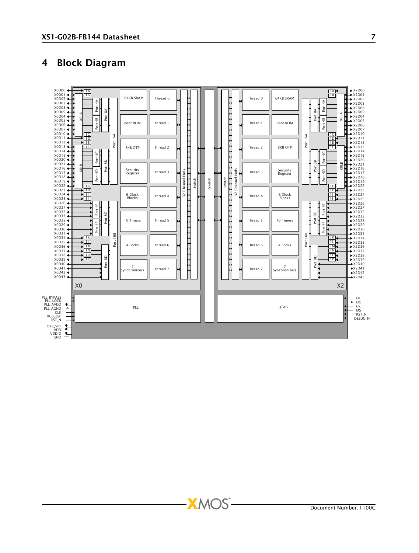### <span id="page-7-0"></span>4 Block Diagram



 $-**X**MOS<sup>*</sup>$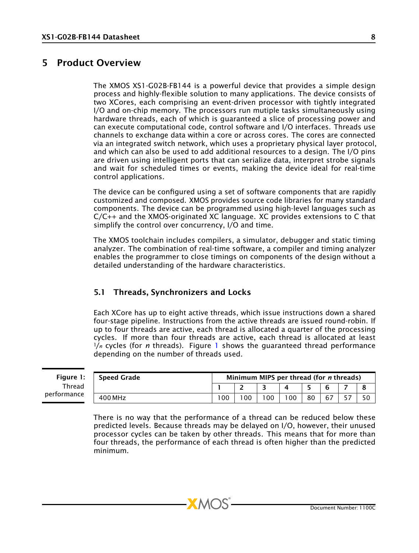### 5 Product Overview

<span id="page-8-0"></span>The XMOS XS1-G02B-FB144 is a powerful device that provides a simple design process and highly-flexible solution to many applications. The device consists of two XCores, each comprising an event-driven processor with tightly integrated I/O and on-chip memory. The processors run mutiple tasks simultaneously using hardware threads, each of which is guaranteed a slice of processing power and can execute computational code, control software and I/O interfaces. Threads use channels to exchange data within a core or across cores. The cores are connected via an integrated switch network, which uses a proprietary physical layer protocol, and which can also be used to add additional resources to a design. The I/O pins are driven using intelligent ports that can serialize data, interpret strobe signals and wait for scheduled times or events, making the device ideal for real-time control applications.

The device can be configured using a set of software components that are rapidly customized and composed. XMOS provides source code libraries for many standard components. The device can be programmed using high-level languages such as C/C++ and the XMOS-originated XC language. XC provides extensions to C that simplify the control over concurrency, I/O and time.

The XMOS toolchain includes compilers, a simulator, debugger and static timing analyzer. The combination of real-time software, a compiler and timing analyzer enables the programmer to close timings on components of the design without a detailed understanding of the hardware characteristics.

### <span id="page-8-2"></span><span id="page-8-1"></span>5.1 Threads, Synchronizers and Locks

Each XCore has up to eight active threads, which issue instructions down a shared four-stage pipeline. Instructions from the active threads are issued round-robin. If up to four threads are active, each thread is allocated a quarter of the processing cycles. If more than four threads are active, each thread is allocated at least <sup>1</sup>/*<sup>n</sup>* cycles (for *n* threads). Figure [1](#page-8-3) shows the guaranteed thread performance depending on the number of threads used.

<span id="page-8-3"></span>Figure 1: Thread performance

| <b>Speed Grade</b> |      | Minimum MIPS per thread (for <i>n</i> threads) |    |    |    |    |  |  |  |  |  |  |
|--------------------|------|------------------------------------------------|----|----|----|----|--|--|--|--|--|--|
|                    |      |                                                |    |    |    |    |  |  |  |  |  |  |
| 400 MHz            | ' 00 | 00                                             | 00 | 00 | 80 | 67 |  |  |  |  |  |  |

There is no way that the performance of a thread can be reduced below these predicted levels. Because threads may be delayed on I/O, however, their unused processor cycles can be taken by other threads. This means that for more than four threads, the performance of each thread is often higher than the predicted minimum.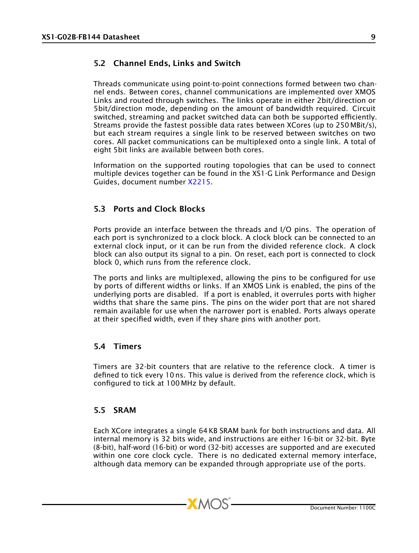### <span id="page-9-2"></span><span id="page-9-0"></span>5.2 Channel Ends, Links and Switch

Threads communicate using point-to-point connections formed between two channel ends. Between cores, channel communications are implemented over XMOS Links and routed through switches. The links operate in either 2bit/direction or 5bit/direction mode, depending on the amount of bandwidth required. Circuit switched, streaming and packet switched data can both be supported efficiently. Streams provide the fastest possible data rates between XCores (up to 250 MBit/s), but each stream requires a single link to be reserved between switches on two cores. All packet communications can be multiplexed onto a single link. A total of eight 5bit links are available between both cores.

Information on the supported routing topologies that can be used to connect multiple devices together can be found in the XS1-G Link Performance and Design Guides, document number [X2215.](http://www.xmos.com/published/xs1g_links)

### <span id="page-9-5"></span><span id="page-9-1"></span>5.3 Ports and Clock Blocks

Ports provide an interface between the threads and I/O pins. The operation of each port is synchronized to a clock block. A clock block can be connected to an external clock input, or it can be run from the divided reference clock. A clock block can also output its signal to a pin. On reset, each port is connected to clock block 0, which runs from the reference clock.

The ports and links are multiplexed, allowing the pins to be configured for use by ports of different widths or links. If an XMOS Link is enabled, the pins of the underlying ports are disabled. If a port is enabled, it overrules ports with higher widths that share the same pins. The pins on the wider port that are not shared remain available for use when the narrower port is enabled. Ports always operate at their specified width, even if they share pins with another port.

### <span id="page-9-4"></span>5.4 Timers

Timers are 32-bit counters that are relative to the reference clock. A timer is defined to tick every 10 ns. This value is derived from the reference clock, which is configured to tick at 100 MHz by default.

### <span id="page-9-3"></span>5.5 SRAM

Each XCore integrates a single 64 KB SRAM bank for both instructions and data. All internal memory is 32 bits wide, and instructions are either 16-bit or 32-bit. Byte (8-bit), half-word (16-bit) or word (32-bit) accesses are supported and are executed within one core clock cycle. There is no dedicated external memory interface, although data memory can be expanded through appropriate use of the ports.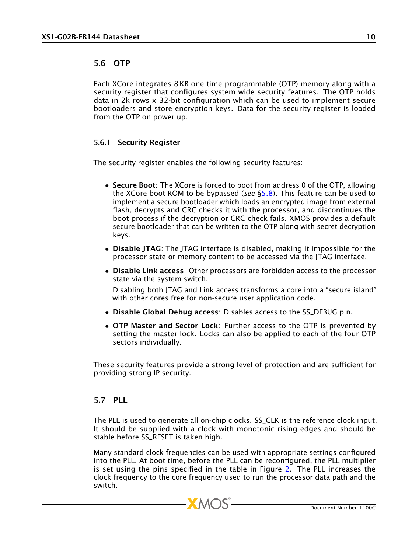### <span id="page-10-1"></span><span id="page-10-0"></span>5.6 OTP

Each XCore integrates 8 KB one-time programmable (OTP) memory along with a security register that configures system wide security features. The OTP holds data in 2k rows x 32-bit configuration which can be used to implement secure bootloaders and store encryption keys. Data for the security register is loaded from the OTP on power up.

### <span id="page-10-3"></span>5.6.1 Security Register

The security register enables the following security features:

- Secure Boot: The XCore is forced to boot from address 0 of the OTP, allowing the XCore boot ROM to be bypassed (*see* [§5.8\)](#page-11-0). This feature can be used to implement a secure bootloader which loads an encrypted image from external flash, decrypts and CRC checks it with the processor, and discontinues the boot process if the decryption or CRC check fails. XMOS provides a default secure bootloader that can be written to the OTP along with secret decryption keys.
- Disable JTAG: The JTAG interface is disabled, making it impossible for the processor state or memory content to be accessed via the JTAG interface.
- Disable Link access: Other processors are forbidden access to the processor state via the system switch.

Disabling both JTAG and Link access transforms a core into a "secure island" with other cores free for non-secure user application code.

- Disable Global Debug access: Disables access to the SS\_DEBUG pin.
- OTP Master and Sector Lock: Further access to the OTP is prevented by setting the master lock. Locks can also be applied to each of the four OTP sectors individually.

These security features provide a strong level of protection and are sufficient for providing strong IP security.

### <span id="page-10-2"></span>5.7 PLL

The PLL is used to generate all on-chip clocks. SS\_CLK is the reference clock input. It should be supplied with a clock with monotonic rising edges and should be stable before SS\_RESET is taken high.

Many standard clock frequencies can be used with appropriate settings configured into the PLL. At boot time, before the PLL can be reconfigured, the PLL multiplier is set using the pins specified in the table in Figure [2.](#page-11-2) The PLL increases the clock frequency to the core frequency used to run the processor data path and the switch.

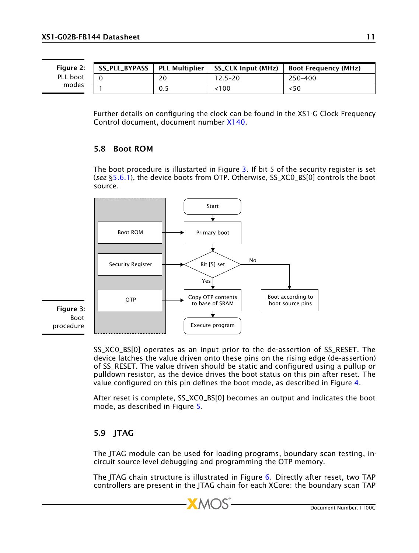<span id="page-11-2"></span>**Figure** PLL b mo

| e 2: |  | SS_PLL_BYPASS   PLL Multiplier   SS_CLK Input (MHz) | <b>Boot Frequency (MHz)</b> |
|------|--|-----------------------------------------------------|-----------------------------|
| oot  |  | $12.5 - 20$                                         | 250-400                     |
| des  |  | < 100                                               | < 50                        |

Further details on configuring the clock can be found in the XS1-G Clock Frequency Control document, document number [X140.](http://www.xmos.com/published/xs1g_clk)

### <span id="page-11-1"></span><span id="page-11-0"></span>5.8 Boot ROM

The boot procedure is illustarted in Figure [3.](#page-11-3) If bit 5 of the security register is set (*see* [§5.6.1\)](#page-10-3), the device boots from OTP. Otherwise, SS\_XC0\_BS[0] controls the boot source.



<span id="page-11-3"></span>SS\_XC0\_BS[0] operates as an input prior to the de-assertion of SS\_RESET. The device latches the value driven onto these pins on the rising edge (de-assertion) of SS\_RESET. The value driven should be static and configured using a pullup or pulldown resistor, as the device drives the boot status on this pin after reset. The value configured on this pin defines the boot mode, as described in Figure [4.](#page-12-0)

After reset is complete, SS\_XC0\_BS[0] becomes an output and indicates the boot mode, as described in Figure [5.](#page-12-1)

### 5.9 JTAG

The JTAG module can be used for loading programs, boundary scan testing, incircuit source-level debugging and programming the OTP memory.

The JTAG chain structure is illustrated in Figure [6.](#page-12-2) Directly after reset, two TAP controllers are present in the JTAG chain for each XCore: the boundary scan TAP

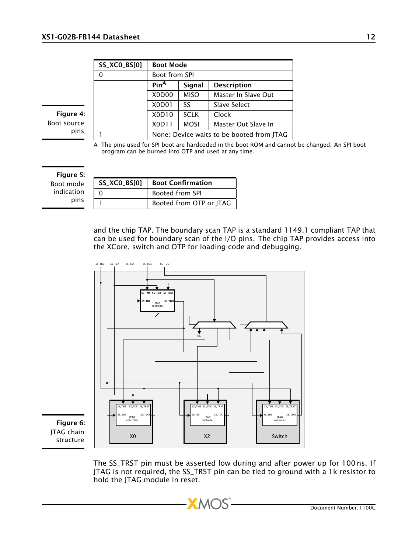| SS_XCO_BS[0] | <b>Boot Mode</b>               |             |                                           |
|--------------|--------------------------------|-------------|-------------------------------------------|
| 0            | <b>Boot from SPI</b>           |             |                                           |
|              | Pin <sup>A</sup>               | Signal      | <b>Description</b>                        |
|              | X <sub>0</sub> D <sub>00</sub> | <b>MISO</b> | Master In Slave Out                       |
|              | X0D01                          | SS          | Slave Select                              |
|              | X0D10                          | <b>SCLK</b> | Clock                                     |
|              | X0D11                          | <b>MOSI</b> | Master Out Slave In                       |
|              |                                |             | None: Device waits to be booted from JTAG |

<span id="page-12-0"></span>Figure 4: Boot source pins

> A The pins used for SPI boot are hardcoded in the boot ROM and cannot be changed. An SPI boot program can be burned into OTP and used at any time.

<span id="page-12-1"></span>Figure 5: Boot mode indication pins

| <b>SS_XCO_BS[0]</b> | <b>Boot Confirmation</b> |
|---------------------|--------------------------|
|                     | Booted from SPI          |
|                     | Booted from OTP or ITAG  |

and the chip TAP. The boundary scan TAP is a standard 1149.1 compliant TAP that can be used for boundary scan of the I/O pins. The chip TAP provides access into the XCore, switch and OTP for loading code and debugging.



<span id="page-12-2"></span>Figure 6: JTAG chain structure

> The SS\_TRST pin must be asserted low during and after power up for 100 ns. If JTAG is not required, the SS\_TRST pin can be tied to ground with a 1k resistor to hold the JTAG module in reset.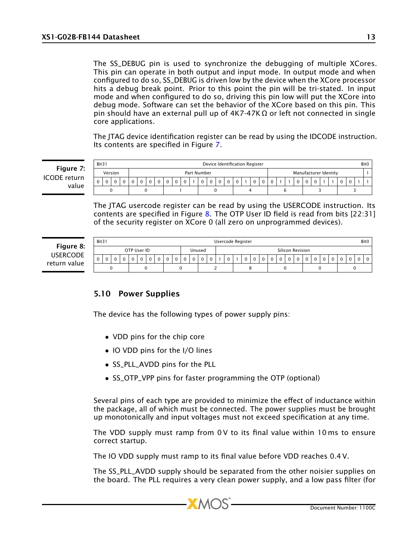The SS\_DEBUG pin is used to synchronize the debugging of multiple XCores. This pin can operate in both output and input mode. In output mode and when configured to do so, SS\_DEBUG is driven low by the device when the XCore processor hits a debug break point. Prior to this point the pin will be tri-stated. In input mode and when configured to do so, driving this pin low will put the XCore into debug mode. Software can set the behavior of the XCore based on this pin. This pin should have an external pull up of  $4K7-47K\Omega$  or left not connected in single core applications.

The JTAG device identification register can be read by using the IDCODE instruction. Its contents are specified in Figure [7.](#page-13-0)

<span id="page-13-0"></span>Figure 7: ICODE return value

| Bit31                  |  |  |  |  |  |  |          |  |  |  |  |  |  |                       | Device Identification Register |  |  |  |  |  |  |  |  |  |  |  |  |  | Bit <sub>0</sub> |
|------------------------|--|--|--|--|--|--|----------|--|--|--|--|--|--|-----------------------|--------------------------------|--|--|--|--|--|--|--|--|--|--|--|--|--|------------------|
| Part Number<br>Version |  |  |  |  |  |  |          |  |  |  |  |  |  | Manufacturer Identity |                                |  |  |  |  |  |  |  |  |  |  |  |  |  |                  |
|                        |  |  |  |  |  |  | $\Omega$ |  |  |  |  |  |  |                       |                                |  |  |  |  |  |  |  |  |  |  |  |  |  |                  |
|                        |  |  |  |  |  |  |          |  |  |  |  |  |  |                       |                                |  |  |  |  |  |  |  |  |  |  |  |  |  |                  |

The JTAG usercode register can be read by using the USERCODE instruction. Its contents are specified in Figure [8.](#page-13-1) The OTP User ID field is read from bits [22:31] of the security register on XCore 0 (all zero on unprogrammed devices).

<span id="page-13-1"></span>**Figure USERCOD** return valu

|    | Bit31       |             |        |  |             |  |  |  |             |  |          |        |  | Usercode Register |  |  |          |          |                  |          |  |        |   | Bit <sub>0</sub> |
|----|-------------|-------------|--------|--|-------------|--|--|--|-------------|--|----------|--------|--|-------------------|--|--|----------|----------|------------------|----------|--|--------|---|------------------|
| 8: |             |             |        |  | OTP User ID |  |  |  |             |  |          | Unused |  |                   |  |  |          |          | Silicon Revision |          |  |        |   |                  |
| эE | $\mathbf 0$ | $\mathbf 0$ | $\sim$ |  |             |  |  |  | $\mathbf 0$ |  | $\Omega$ |        |  |                   |  |  | $\Omega$ | $\Omega$ |                  | $\Omega$ |  | $\sim$ | 0 |                  |
| ıе |             |             |        |  |             |  |  |  |             |  |          |        |  |                   |  |  |          |          |                  |          |  |        |   |                  |

### 5.10 Power Supplies

The device has the following types of power supply pins:

- VDD pins for the chip core
- IO VDD pins for the I/O lines
- SS\_PLL\_AVDD pins for the PLL
- SS\_OTP\_VPP pins for faster programming the OTP (optional)

Several pins of each type are provided to minimize the effect of inductance within the package, all of which must be connected. The power supplies must be brought up monotonically and input voltages must not exceed specification at any time.

The VDD supply must ramp from 0 V to its final value within 10 ms to ensure correct startup.

The IO VDD supply must ramp to its final value before VDD reaches 0.4 V.

The SS\_PLL\_AVDD supply should be separated from the other noisier supplies on the board. The PLL requires a very clean power supply, and a low pass filter (for

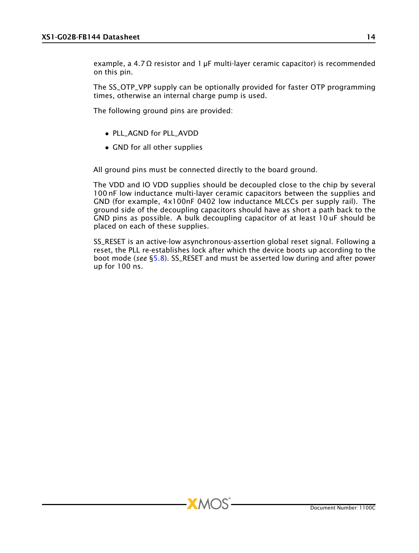example, a 4.7  $\Omega$  resistor and 1 µF multi-layer ceramic capacitor) is recommended on this pin.

The SS\_OTP\_VPP supply can be optionally provided for faster OTP programming times, otherwise an internal charge pump is used.

The following ground pins are provided:

- PLL\_AGND for PLL\_AVDD
- GND for all other supplies

All ground pins must be connected directly to the board ground.

**XMOS** 

The VDD and IO VDD supplies should be decoupled close to the chip by several 100 nF low inductance multi-layer ceramic capacitors between the supplies and GND (for example, 4x100nF 0402 low inductance MLCCs per supply rail). The ground side of the decoupling capacitors should have as short a path back to the GND pins as possible. A bulk decoupling capacitor of at least 10 uF should be placed on each of these supplies.

SS\_RESET is an active-low asynchronous-assertion global reset signal. Following a reset, the PLL re-establishes lock after which the device boots up according to the boot mode (*see* [§5.8\)](#page-11-0). SS\_RESET and must be asserted low during and after power up for 100 ns.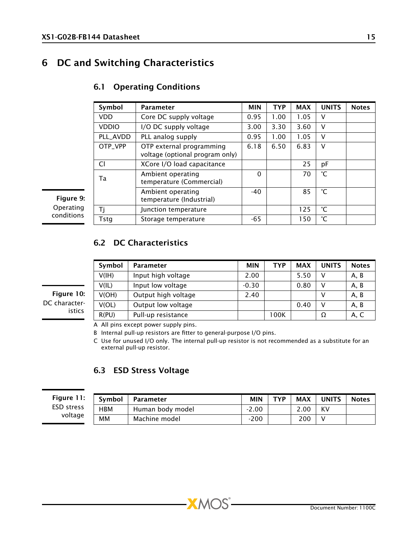### 6 DC and Switching Characteristics

| Symbol       | <b>Parameter</b>                                            | <b>MIN</b> | <b>TYP</b> | <b>MAX</b> | <b>UNITS</b> | <b>Notes</b> |
|--------------|-------------------------------------------------------------|------------|------------|------------|--------------|--------------|
| <b>VDD</b>   | Core DC supply voltage                                      | 0.95       | 1.00       | 1.05       | v            |              |
| <b>VDDIO</b> | I/O DC supply voltage                                       | 3.00       | 3.30       | 3.60       | v            |              |
| PLL AVDD     | PLL analog supply                                           | 0.95       | 1.00       | 1.05       | v            |              |
| OTP VPP      | OTP external programming<br>voltage (optional program only) | 6.18       | 6.50       | 6.83       | V            |              |
| Cl           | XCore I/O load capacitance                                  |            |            | 25         | рF           |              |
| Ta           | Ambient operating<br>temperature (Commercial)               | $\Omega$   |            | 70         | °С           |              |
|              | Ambient operating<br>temperature (Industrial)               | $-40$      |            | 85         | °C           |              |
| Τj           | Junction temperature                                        |            |            | 125        | °C           |              |
| Tstg         | Storage temperature                                         | -65        |            | 150        | °С           |              |

### <span id="page-15-0"></span>6.1 Operating Conditions

Figure 9: Operating conditions

### <span id="page-15-2"></span>6.2 DC Characteristics

| Symbol | <b>Parameter</b>    | <b>MIN</b> | <b>TYP</b> | <b>MAX</b> | <b>UNITS</b> | <b>Notes</b> |
|--------|---------------------|------------|------------|------------|--------------|--------------|
| V(H)   | Input high voltage  | 2.00       |            | 5.50       |              | A, B         |
| V(IL)  | Input low voltage   | $-0.30$    |            | 0.80       |              | A, B         |
| V(OH)  | Output high voltage | 2.40       |            |            |              | A, B         |
| V(OL)  | Output low voltage  |            |            | 0.40       |              | A, B         |
| R(PU)  | Pull-up resistance  |            | 100K       |            | Ω            | A, C         |

<span id="page-15-1"></span>Figure 10: DC characteristics

A All pins except power supply pins.

B Internal pull-up resistors are fitter to general-purpose I/O pins.

C Use for unused I/O only. The internal pull-up resistor is not recommended as a substitute for an external pull-up resistor.

### 6.3 ESD Stress Voltage

#### Figure 1 ESD stres voltad

| 1: | Symbol | Parameter        | <b>MIN</b> | TVP | <b>MAX</b> | <b>UNITS</b> | <b>Notes</b> |
|----|--------|------------------|------------|-----|------------|--------------|--------------|
| SS | HBM    | Human body model | $-2.00$    |     | 2.00       | KV           |              |
| qe | MМ     | Machine model    | $-200$     |     | 200        |              |              |

**XMOS**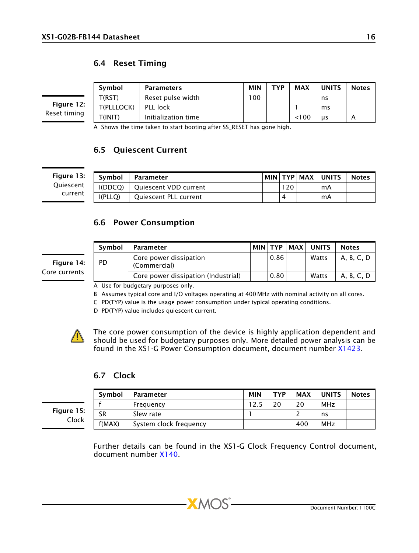### 6.4 Reset Timing

Figure 12: Reset timing

| Symbol            | <b>Parameters</b>   | MIN            | TYP | MAX   | <b>UNITS</b> | <b>Notes</b> |
|-------------------|---------------------|----------------|-----|-------|--------------|--------------|
| T(RST)            | Reset pulse width   | 0 <sub>0</sub> |     |       | ns           |              |
| <b>T(PLLLOCK)</b> | PLL lock            |                |     |       | ms           |              |
| T(INIT)           | Initialization time |                |     | < 100 | us           |              |

A Shows the time taken to start booting after SS\_RESET has gone high.

### 6.5 Quiescent Current

Figure 13: Quiescent current

| Symbol  | Parameter                    |     | $MIN$ $TYP$ $MAX$ | <b>UNITS</b> | <b>Notes</b> |
|---------|------------------------------|-----|-------------------|--------------|--------------|
| I(DDCO) | <b>Oujescent VDD current</b> | 120 |                   | mA           |              |
| I(PLLO) | <b>Oujescent PLL current</b> |     |                   | mA           |              |

### <span id="page-16-0"></span>6.6 Power Consumption

#### Figure 14: Core currents

| Symbol    | Parameter                              |      | $MIN$ $TYP$ $MAX$ | <b>UNITS</b> | <b>Notes</b> |
|-----------|----------------------------------------|------|-------------------|--------------|--------------|
| <b>PD</b> | Core power dissipation<br>(Commercial) | 0.86 |                   | Watts        | A. B. C. D   |
|           | Core power dissipation (Industrial)    | 0.80 |                   | Watts        | A, B, C, D   |

A Use for budgetary purposes only.

B Assumes typical core and I/O voltages operating at 400 MHz with nominal activity on all cores.

C PD(TYP) value is the usage power consumption under typical operating conditions.

D PD(TYP) value includes quiescent current.



The core power consumption of the device is highly application dependent and should be used for budgetary purposes only. More detailed power analysis can be found in the XS1-G Power Consumption document, document number [X1423.](http://www.xmos.com/published/xs1g_power)

### 6.7 Clock

|            | Symbol | Parameter              | <b>MIN</b> | <b>TYP</b> | <b>MAX</b> | <b>UNITS</b> | <b>Notes</b> |
|------------|--------|------------------------|------------|------------|------------|--------------|--------------|
|            |        | Frequency              | 12.5       | 20         | 20         | MHz          |              |
| Figure 15: | SR     | Slew rate              |            |            |            | ns           |              |
| Clock      | f(MAX) | System clock frequency |            |            | 400        | <b>MHz</b>   |              |

Further details can be found in the XS1-G Clock Frequency Control document, document number [X140.](http://www.xmos.com/published/xs1g_clk)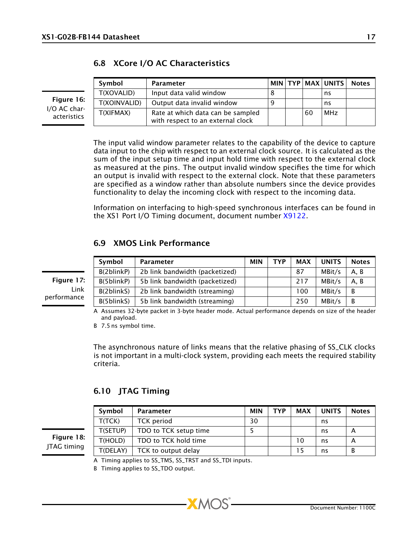|                             | Symbol            | Parameter                                                              |  |    | MIN TYP MAX UNITS | <b>Notes</b> |
|-----------------------------|-------------------|------------------------------------------------------------------------|--|----|-------------------|--------------|
|                             | <b>T(XOVALID)</b> | Input data valid window                                                |  |    | ns                |              |
| Figure 16:                  | T(XOINVALID)      | Output data invalid window                                             |  |    | ns                |              |
| I/O AC char-<br>acteristics | <b>T(XIFMAX)</b>  | Rate at which data can be sampled<br>with respect to an external clock |  | 60 | MHz               |              |

### 6.8 XCore I/O AC Characteristics

The input valid window parameter relates to the capability of the device to capture data input to the chip with respect to an external clock source. It is calculated as the sum of the input setup time and input hold time with respect to the external clock as measured at the pins. The output invalid window specifies the time for which an output is invalid with respect to the external clock. Note that these parameters are specified as a window rather than absolute numbers since the device provides functionality to delay the incoming clock with respect to the incoming data.

Information on interfacing to high-speed synchronous interfaces can be found in the XS1 Port I/O Timing document, document number [X9122.](http://www.xmos.com/published/xs1_port_timing)

### 6.9 XMOS Link Performance

<span id="page-17-0"></span>**Figure**  $\mathsf{L}$ performan

|     | Symbol     | <b>Parameter</b>               | <b>MIN</b> | <b>TYP</b> | <b>MAX</b> | <b>UNITS</b> | <b>Notes</b> |
|-----|------------|--------------------------------|------------|------------|------------|--------------|--------------|
|     | B(2blinkP) | 2b link bandwidth (packetized) |            |            | 87         | MBit/s       | A.B          |
| 17: | B(5blinkP) | 5b link bandwidth (packetized) |            |            | 217        | MBit/s       | A. B         |
| ink | B(2blinkS) | 2b link bandwidth (streaming)  |            |            | 100        | MBit/s       |              |
| ıce | B(5blinkS) | 5b link bandwidth (streaming)  |            |            | 250        | MBit/s       | B            |

A Assumes 32-byte packet in 3-byte header mode. Actual performance depends on size of the header and payload.

B 7.5 ns symbol time.

The asynchronous nature of links means that the relative phasing of SS\_CLK clocks is not important in a multi-clock system, providing each meets the required stability criteria.

### 6.10 JTAG Timing

|    | Symbol          | Parameter             | MIN | <b>TYP</b> | MAX | <b>UNITS</b> | <b>Notes</b> |
|----|-----------------|-----------------------|-----|------------|-----|--------------|--------------|
|    | T(TCK)          | <b>TCK</b> period     | 30  |            |     | ns           |              |
|    | <b>T(SETUP)</b> | TDO to TCK setup time |     |            |     | ns           |              |
| 8. | T(HOLD)         | TDO to TCK hold time  |     |            | 10  | ns           |              |
| ıg | T(DELAY)        | TCK to output delay   |     |            |     | ns           |              |

Figure 1 JTAG timing

A Timing applies to SS\_TMS, SS\_TRST and SS\_TDI inputs.

B Timing applies to SS\_TDO output.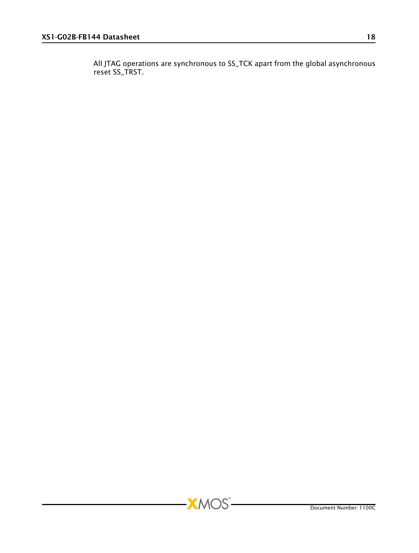All JTAG operations are synchronous to SS\_TCK apart from the global asynchronous reset SS\_TRST.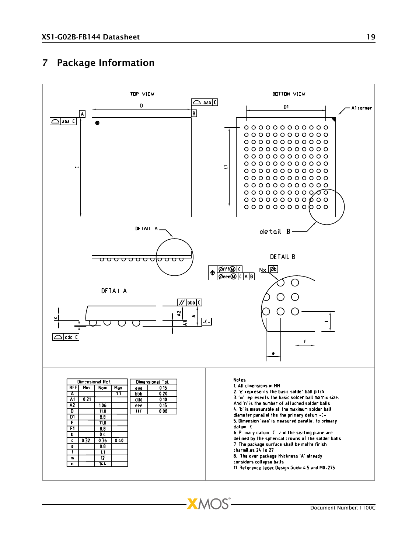### <span id="page-19-0"></span>7 Package Information



 $\bm{X}$ M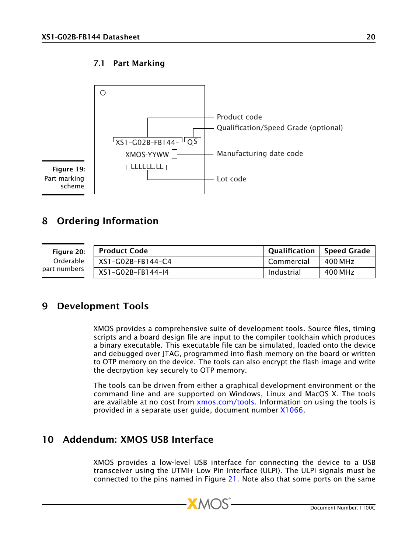### 7.1 Part Marking



# <span id="page-20-0"></span>8 Ordering Information

| Figure 20:   | <b>Product Code</b> |            | Qualification   Speed Grade |  |  |
|--------------|---------------------|------------|-----------------------------|--|--|
| Orderable    | $XS1-G02B-FB144-C4$ | Commercial | 400 MHz                     |  |  |
| part numbers | XS1-G02B-FB144-14   | Industrial | 400 MHz                     |  |  |

### 9 Development Tools

<span id="page-20-1"></span>XMOS provides a comprehensive suite of development tools. Source files, timing scripts and a board design file are input to the compiler toolchain which produces a binary executable. This executable file can be simulated, loaded onto the device and debugged over JTAG, programmed into flash memory on the board or written to OTP memory on the device. The tools can also encrypt the flash image and write the decrpytion key securely to OTP memory.

The tools can be driven from either a graphical development environment or the command line and are supported on Windows, Linux and MacOS X. The tools are available at no cost from [xmos.com/tools.](http://www.xmos.com/tools) Information on using the tools is provided in a separate user guide, document number [X1066.](http://www.xmos.com/published/xtools_en)

### 10 Addendum: XMOS USB Interface

<span id="page-20-2"></span>XMOS provides a low-level USB interface for connecting the device to a USB transceiver using the UTMI+ Low Pin Interface (ULPI). The ULPI signals must be connected to the pins named in Figure [21.](#page-21-1) Note also that some ports on the same

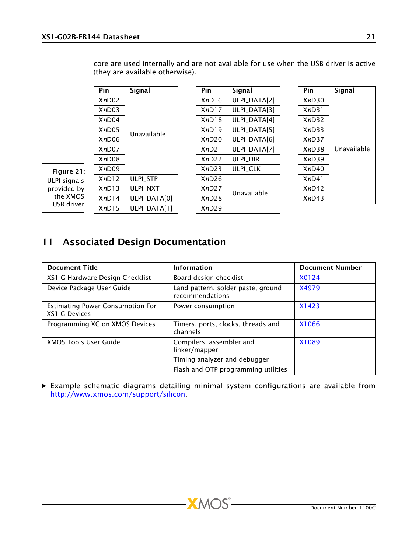|                                       | Pin   | Signal          |       | Pin      | Signal          |       | Pin   | Signal      |  |
|---------------------------------------|-------|-----------------|-------|----------|-----------------|-------|-------|-------------|--|
|                                       | XnD02 |                 |       | XnD16    | ULPI_DATA[2]    |       | XnD30 |             |  |
|                                       | XnD03 |                 |       | XnD17    | ULPI_DATA[3]    |       | XnD31 |             |  |
|                                       | XnD04 |                 |       | XnD18    | ULPI_DATA[4]    |       | XnD32 |             |  |
|                                       | XnD05 | Unavailable     |       | XnD19    | ULPI DATA[5]    |       | XnD33 |             |  |
|                                       | XnD06 |                 |       | XnD20    | ULPI DATAI61    |       | XnD37 |             |  |
|                                       | XnDO7 |                 |       | XnD21    | ULPI_DATA[7]    |       | XnD38 | Unavailable |  |
|                                       | XnD08 |                 | XnD22 | ULPI_DIR |                 | XnD39 |       |             |  |
| Figure 21:                            | XnD09 |                 |       | XnD23    | <b>ULPI CLK</b> |       | XnD40 |             |  |
| ULPI signals                          | XnD12 | <b>ULPI STP</b> |       | XnD26    |                 |       | XnD41 |             |  |
| provided by<br>the XMOS<br>USB driver | XnD13 | <b>ULPI NXT</b> |       | XnD27    | Unavailable     |       | XnD42 |             |  |
|                                       | XnD14 | ULPI_DATA[0]    |       | XnD28    |                 |       | XnD43 |             |  |
|                                       | XnD15 | ULPI DATA[1]    |       | XnD29    |                 |       |       |             |  |

core are used internally and are not available for use when the USB driver is active (they are available otherwise).

### <span id="page-21-1"></span><span id="page-21-0"></span>11 Associated Design Documentation

| <b>Document Title</b>                                    | <b>Information</b>                                    | <b>Document Number</b> |
|----------------------------------------------------------|-------------------------------------------------------|------------------------|
| XS1-G Hardware Design Checklist                          | Board design checklist                                | X0124                  |
| Device Package User Guide                                | Land pattern, solder paste, ground<br>recommendations | X4979                  |
| <b>Estimating Power Consumption For</b><br>XS1-G Devices | Power consumption                                     | X1423                  |
| Programming XC on XMOS Devices                           | Timers, ports, clocks, threads and<br>channels        | X1066                  |
| <b>XMOS Tools User Guide</b>                             | Compilers, assembler and<br>linker/mapper             | X1089                  |
|                                                          | Timing analyzer and debugger                          |                        |
|                                                          | Flash and OTP programming utilities                   |                        |

· Example schematic diagrams detailing minimal system configurations are available from [http://www.xmos.com/support/silicon.](http://www.xmos.com/support/silicon)

**XMOS**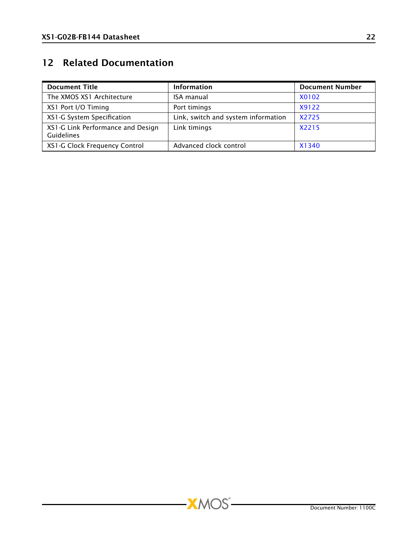# <span id="page-22-0"></span>12 Related Documentation

| <b>Document Title</b>                           | <b>Information</b>                  | <b>Document Number</b> |
|-------------------------------------------------|-------------------------------------|------------------------|
| The XMOS XS1 Architecture                       | <b>ISA manual</b>                   | X0102                  |
| XS1 Port I/O Timing                             | Port timings                        | X9122                  |
| XS1-G System Specification                      | Link, switch and system information | X2725                  |
| XS1-G Link Performance and Design<br>Guidelines | Link timings                        | X2215                  |
| XS1-G Clock Frequency Control                   | Advanced clock control              | X1340                  |